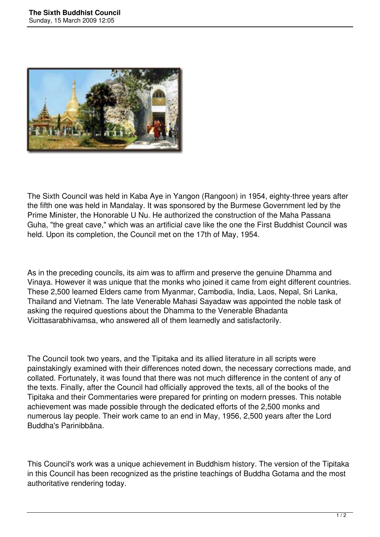

The Sixth Council was held in Kaba Aye in Yangon (Rangoon) in 1954, eighty-three years after the fifth one was held in Mandalay. It was sponsored by the Burmese Government led by the Prime Minister, the Honorable U Nu. He authorized the construction of the Maha Passana Guha, "the great cave," which was an artificial cave like the one the First Buddhist Council was held. Upon its completion, the Council met on the 17th of May, 1954.

As in the preceding councils, its aim was to affirm and preserve the genuine Dhamma and Vinaya. However it was unique that the monks who joined it came from eight different countries. These 2,500 learned Elders came from Myanmar, Cambodia, India, Laos, Nepal, Sri Lanka, Thailand and Vietnam. The late Venerable Mahasi Sayadaw was appointed the noble task of asking the required questions about the Dhamma to the Venerable Bhadanta Vicittasarabhivamsa, who answered all of them learnedly and satisfactorily.

The Council took two years, and the Tipitaka and its allied literature in all scripts were painstakingly examined with their differences noted down, the necessary corrections made, and collated. Fortunately, it was found that there was not much difference in the content of any of the texts. Finally, after the Council had officially approved the texts, all of the books of the Tipitaka and their Commentaries were prepared for printing on modern presses. This notable achievement was made possible through the dedicated efforts of the 2,500 monks and numerous lay people. Their work came to an end in May, 1956, 2,500 years after the Lord Buddha's Parinibbāna.

This Council's work was a unique achievement in Buddhism history. The version of the Tipitaka in this Council has been recognized as the pristine teachings of Buddha Gotama and the most authoritative rendering today.